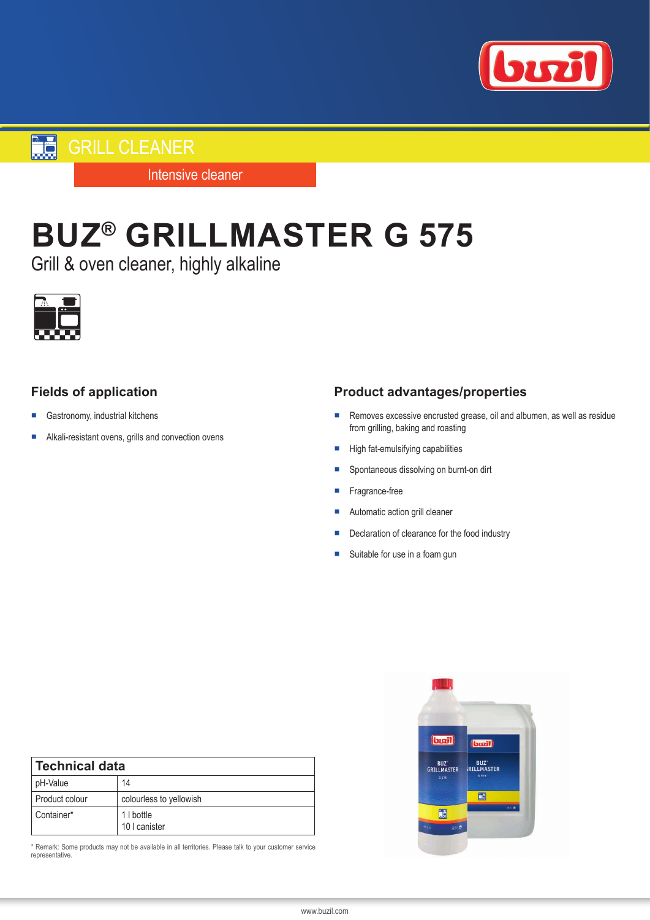

**GRILL CLEANER** 

Intensive cleaner

# **BUZ® GRILLMASTER G 575**

Grill & oven cleaner, highly alkaline



## **Fields of application**

- Gastronomy, industrial kitchens
- Alkali-resistant ovens, grills and convection ovens

### **Product advantages/properties**

- Removes excessive encrusted grease, oil and albumen, as well as residue from grilling, baking and roasting
- High fat-emulsifying capabilities
- Spontaneous dissolving on burnt-on dirt
- Fragrance-free
- Automatic action grill cleaner
- Declaration of clearance for the food industry
- Suitable for use in a foam gun

| <b>Technical data</b> |                             |
|-----------------------|-----------------------------|
| pH-Value              | 14                          |
| Product colour        | colourless to yellowish     |
| Container*            | 1   bottle<br>10   canister |

\* Remark: Some products may not be available in all territories. Please talk to your customer service representative.